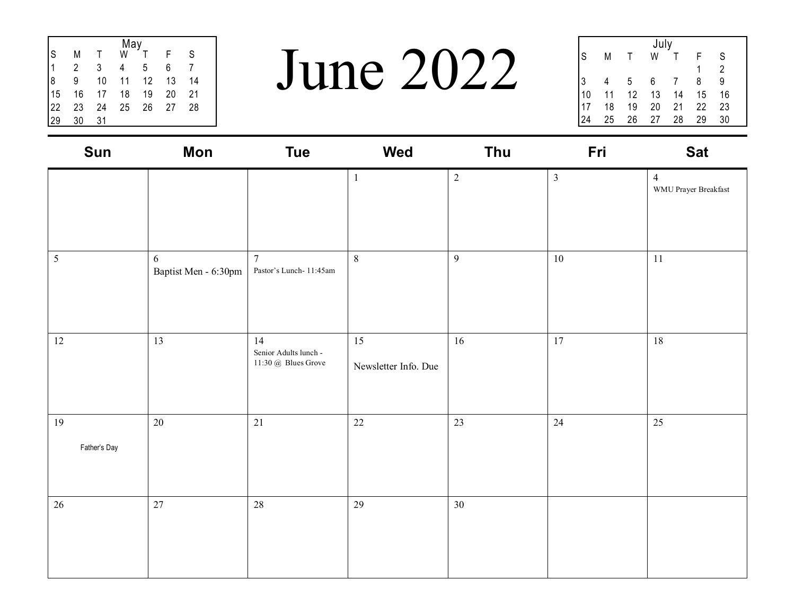|    | May |    |    |    |    |    |  |  |  |  |
|----|-----|----|----|----|----|----|--|--|--|--|
| S  | Μ   | т  | W  |    | F  | S  |  |  |  |  |
|    | 2   | 3  | 4  | 5  | 6  |    |  |  |  |  |
| 8  | 9   | 10 | 11 | 12 | 13 | 14 |  |  |  |  |
| 15 | 16  | 17 | 18 | 19 | 20 | 21 |  |  |  |  |
| 22 | 23  | 24 | 25 | 26 | 27 | 28 |  |  |  |  |
| 29 | 30  | 31 |    |    |    |    |  |  |  |  |

June 2022

| July |    |    |    |    |    |    |  |  |  |
|------|----|----|----|----|----|----|--|--|--|
| S    | M  |    | W  |    |    | S  |  |  |  |
|      |    |    |    |    | 1  | 2  |  |  |  |
| 3    |    | 5  | 6  |    | 8  | 9  |  |  |  |
| 10   | 11 | 12 | 13 | 14 | 15 | 16 |  |  |  |
| 17   | 18 | 19 | 20 | 21 | 22 | 23 |  |  |  |
|      | 25 | 26 | 27 | 28 | 29 | 30 |  |  |  |
|      |    |    |    |    |    |    |  |  |  |

| Sun                | <b>Mon</b>                | <b>Tue</b>                                         | Wed                        | Thu        | Fri            | <b>Sat</b>                             |
|--------------------|---------------------------|----------------------------------------------------|----------------------------|------------|----------------|----------------------------------------|
|                    |                           |                                                    | $\mathbf{1}$               | $\sqrt{2}$ | $\mathfrak{Z}$ | $\overline{4}$<br>WMU Prayer Breakfast |
| $\mathfrak{S}$     | 6<br>Baptist Men - 6:30pm | $\overline{7}$<br>Pastor's Lunch-11:45am           | $\,8\,$                    | 9          | $10\,$         | $11\,$                                 |
| $12\,$             | 13                        | 14<br>Senior Adults lunch -<br>11:30 @ Blues Grove | 15<br>Newsletter Info. Due | $16\,$     | $17\,$         | $18\,$                                 |
| 19<br>Father's Day | 20                        | 21                                                 | 22                         | 23         | 24             | 25                                     |
| 26                 | 27                        | 28                                                 | 29                         | 30         |                |                                        |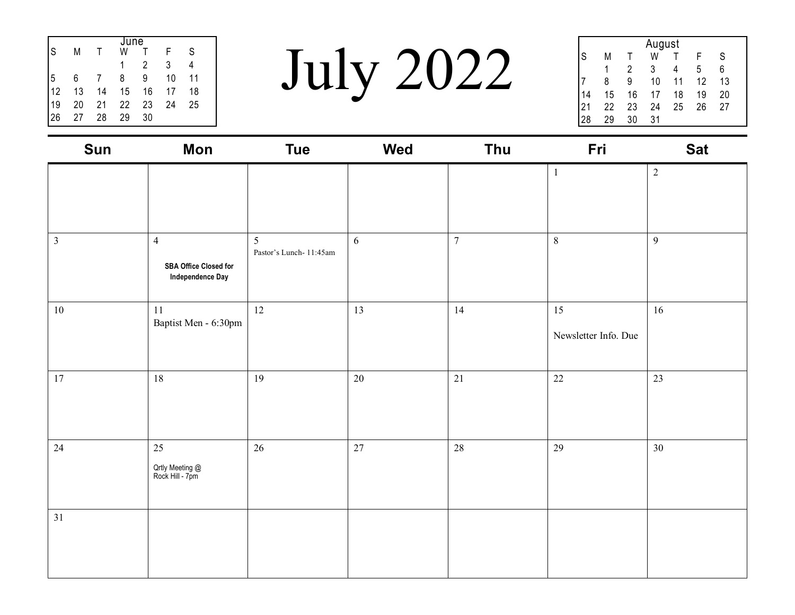|    |    |    | June |    |    |    |  |
|----|----|----|------|----|----|----|--|
| S  | Μ  |    | W    |    | F  | S  |  |
|    |    |    |      | 2  | 3  |    |  |
| 5  | 6  |    | 8    | 9  | 10 | 11 |  |
| 12 | 13 | 14 | 15   | 16 | 17 | 18 |  |
| 19 | 20 | 21 | 22   | 23 | 24 | 25 |  |
| 26 | 27 | 28 | 29   | 30 |    |    |  |

July 2022

|    | August |    |    |    |    |    |  |  |  |  |  |
|----|--------|----|----|----|----|----|--|--|--|--|--|
| S  | Μ      |    | W  |    | F  | S  |  |  |  |  |  |
|    | 1      | 2  | 3  |    | 5  | 6  |  |  |  |  |  |
|    | 8      | 9  | 10 | 11 | 12 | 13 |  |  |  |  |  |
| 14 | 15     | 16 | 17 | 18 | 19 | 20 |  |  |  |  |  |
| 21 | 22     | 23 | 24 | 25 | 26 | 27 |  |  |  |  |  |
|    | 29     | 30 | 31 |    |    |    |  |  |  |  |  |

| Sun            | <b>Mon</b>                                                         | <b>Tue</b>                  | Wed    | Thu            | Fri                        | <b>Sat</b> |
|----------------|--------------------------------------------------------------------|-----------------------------|--------|----------------|----------------------------|------------|
|                |                                                                    |                             |        |                | $\mathbf{1}$               | $\sqrt{2}$ |
| $\mathfrak{Z}$ | $\overline{4}$<br><b>SBA Office Closed for</b><br>Independence Day | 5<br>Pastor's Lunch-11:45am | 6      | $\overline{7}$ | $\,8\,$                    | 9          |
| $10\,$         | $11\,$<br>Baptist Men - 6:30pm                                     | 12                          | 13     | 14             | 15<br>Newsletter Info. Due | $16\,$     |
| 17             | 18                                                                 | 19                          | $20\,$ | 21             | 22                         | 23         |
| 24             | 25<br>Qrtly Meeting @<br>Rock Hill - 7pm                           | 26                          | 27     | 28             | 29                         | 30         |
| 31             |                                                                    |                             |        |                |                            |            |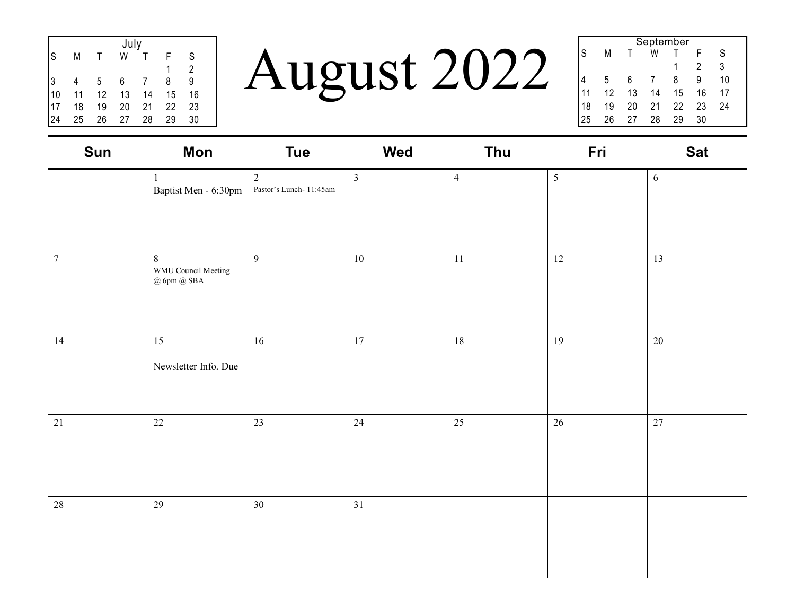| July |    |    |    |    |    |    |  |  |  |
|------|----|----|----|----|----|----|--|--|--|
| S    | Μ  |    | W  |    |    | S  |  |  |  |
|      |    |    |    |    |    | 2  |  |  |  |
| 3    |    | 5  | 6  |    | 8  | 9  |  |  |  |
| 10   | 11 | 12 | 13 | 14 | 15 | 16 |  |  |  |
| 17   | 18 | 19 | 20 | 21 | 22 | 23 |  |  |  |
| 24   | 25 | 26 | 27 | 28 | 29 | 30 |  |  |  |

August 2022

| September |    |    |    |    |    |  |  |  |  |
|-----------|----|----|----|----|----|--|--|--|--|
| М         |    | W  |    |    | S  |  |  |  |  |
|           |    |    |    | 2  | 3  |  |  |  |  |
| 5         | 6  |    | 8  | 9  | 10 |  |  |  |  |
| 12        | 13 | 14 | 15 | 16 | 17 |  |  |  |  |
| 19        | 20 | 21 | 22 | 23 | 24 |  |  |  |  |
| 26        | 27 | 28 | 29 | 30 |    |  |  |  |  |
|           |    |    |    |    |    |  |  |  |  |

| Sun              | Mon                                             | <b>Tue</b>                            | Wed            | Thu            | Fri            | <b>Sat</b> |
|------------------|-------------------------------------------------|---------------------------------------|----------------|----------------|----------------|------------|
|                  | Baptist Men - 6:30pm                            | $\sqrt{2}$<br>Pastor's Lunch- 11:45am | $\mathfrak{Z}$ | $\overline{4}$ | $\mathfrak{S}$ | $\sqrt{6}$ |
| $\boldsymbol{7}$ | $8\,$<br>WMU Council Meeting<br>$@$ 6pm $@$ SBA | $\overline{9}$                        | $10\,$         | $11\,$         | 12             | 13         |
| 14               | 15<br>Newsletter Info. Due                      | $16\,$                                | 17             | 18             | 19             | $20\,$     |
| 21               | $22\,$                                          | 23                                    | 24             | 25             | $26\,$         | $27\,$     |
| 28               | 29                                              | 30                                    | 31             |                |                |            |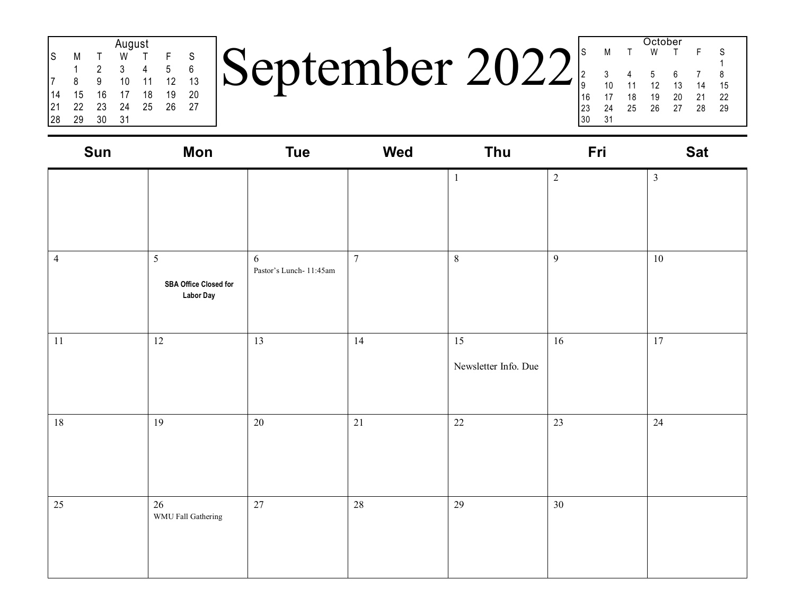| August |    |    |    |    |    |    |  |  |  |
|--------|----|----|----|----|----|----|--|--|--|
| S      | Μ  |    | W  |    | F  | S  |  |  |  |
|        |    | 2  | 3  |    | 5  | 6  |  |  |  |
|        | 8  | 9  | 10 | 11 | 12 | 13 |  |  |  |
| 14     | 15 | 16 | 17 | 18 | 19 | 20 |  |  |  |
| 21     | 22 | 23 | 24 | 25 | 26 | 27 |  |  |  |
| 28     | 29 | 30 | 31 |    |    |    |  |  |  |

September 2022

|    |    |        | UUUNU |              |    |    |  |
|----|----|--------|-------|--------------|----|----|--|
| S  | М  | $\top$ | W     | $\mathsf{T}$ |    | S  |  |
|    |    |        |       |              |    |    |  |
|    |    |        |       |              |    |    |  |
| 2  | 3  | 4      | 5     | 6            |    | 8  |  |
| 9  | 10 | 11     | 12    | 13           | 14 | 15 |  |
| 16 | 17 | 18     | 19    | 20           | 21 | 22 |  |
| 23 | 24 | 25     | 26    | 27           | 28 | 29 |  |
| 30 | 31 |        |       |              |    |    |  |
|    |    |        |       |              |    |    |  |

Ootober

| Sun            | <b>Mon</b>                                                          | <b>Tue</b>                  | Wed            | Thu                        | Fri            | <b>Sat</b>     |
|----------------|---------------------------------------------------------------------|-----------------------------|----------------|----------------------------|----------------|----------------|
|                |                                                                     |                             |                | $\mathbf{1}$               | $\overline{2}$ | $\mathfrak{Z}$ |
| $\overline{4}$ | $5\overline{)}$<br><b>SBA Office Closed for</b><br><b>Labor Day</b> | 6<br>Pastor's Lunch-11:45am | $\overline{7}$ | $\,8\,$                    | $\overline{9}$ | 10             |
| 11             | 12                                                                  | 13                          | 14             | 15<br>Newsletter Info. Due | $16\,$         | 17             |
| 18             | 19                                                                  | 20                          | 21             | $22\,$                     | 23             | 24             |
| 25             | 26<br>WMU Fall Gathering                                            | 27                          | 28             | 29                         | 30             |                |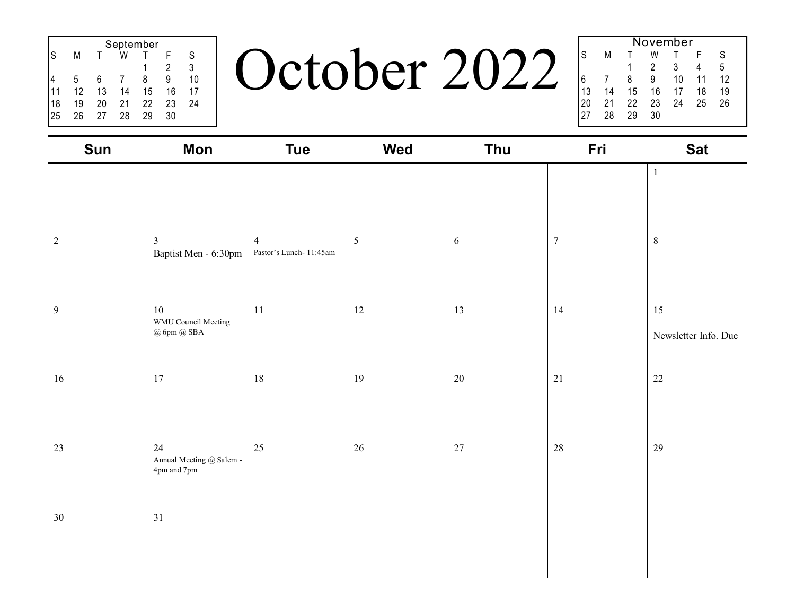|    | September |    |    |    |    |    |  |  |  |  |
|----|-----------|----|----|----|----|----|--|--|--|--|
| S  | М         |    | w  |    | F  | S  |  |  |  |  |
|    |           |    |    |    | 2  | 3  |  |  |  |  |
|    | 5         | 6  |    | 8  | 9  | 10 |  |  |  |  |
|    | 12        | 13 | 14 | 15 | 16 | 17 |  |  |  |  |
| 18 | 19        | 20 | 21 | 22 | 23 | 24 |  |  |  |  |
| 25 | 26        | 27 | 28 | 29 | 30 |    |  |  |  |  |

October 2022

|    | November |    |    |    |    |    |  |  |  |  |  |
|----|----------|----|----|----|----|----|--|--|--|--|--|
| Is | М        |    | W  |    | F  | S  |  |  |  |  |  |
|    |          |    | 2  | 3  |    | 5  |  |  |  |  |  |
| l6 |          | 8  | 9  | 10 | 11 | 12 |  |  |  |  |  |
| 13 | 14       | 15 | 16 | 17 | 18 | 19 |  |  |  |  |  |
| 20 | 21       | 22 | 23 | 24 | 25 | 26 |  |  |  |  |  |
| 27 | 28       | 29 | 30 |    |    |    |  |  |  |  |  |

| Sun            | Mon                                           | <b>Tue</b>                                | Wed    | Thu        | Fri              | <b>Sat</b>                 |
|----------------|-----------------------------------------------|-------------------------------------------|--------|------------|------------------|----------------------------|
|                |                                               |                                           |        |            |                  | $\mathbf{1}$               |
| $\sqrt{2}$     | $\overline{3}$<br>Baptist Men - 6:30pm        | $\overline{4}$<br>Pastor's Lunch- 11:45am | 5      | $\sqrt{6}$ | $\boldsymbol{7}$ | $8\,$                      |
| $\mathfrak{g}$ | 10<br>WMU Council Meeting<br>$@$ 6pm $@$ SBA  | 11                                        | 12     | 13         | 14               | 15<br>Newsletter Info. Due |
| 16             | $17\,$                                        | 18                                        | 19     | $20\,$     | 21               | 22                         |
| 23             | 24<br>Annual Meeting @ Salem -<br>4pm and 7pm | 25                                        | $26\,$ | 27         | $28\,$           | 29                         |
| $30\,$         | 31                                            |                                           |        |            |                  |                            |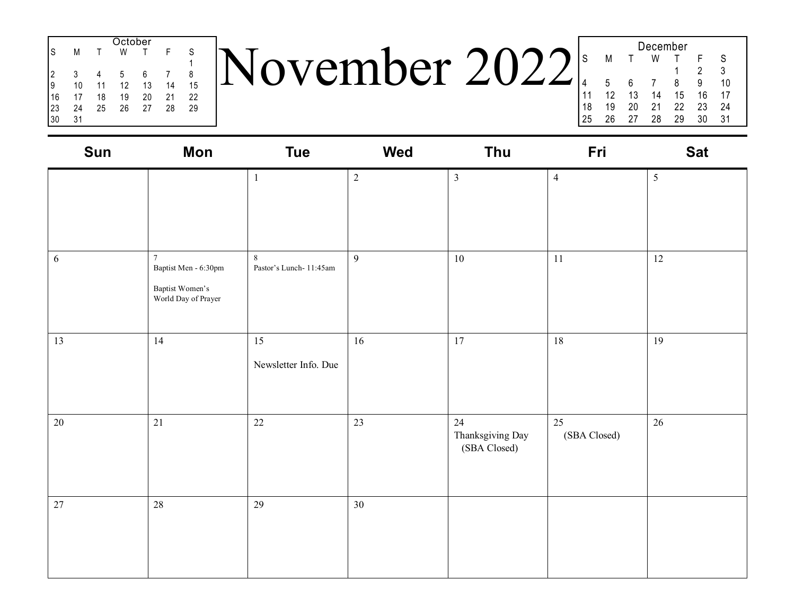| October |    |    |    |    |    |    |  |  |  |
|---------|----|----|----|----|----|----|--|--|--|
| S       | M  |    | W  |    | F  | S  |  |  |  |
|         |    |    |    |    |    |    |  |  |  |
| 2       | 3  |    | 5  | 6  |    | 8  |  |  |  |
| 9       | 10 | 11 | 12 | 13 | 14 | 15 |  |  |  |
| 16      | 17 | 18 | 19 | 20 | 21 | 22 |  |  |  |
| 23      | 24 | 25 | 26 | 27 | 28 | 29 |  |  |  |
| 30      | 31 |    |    |    |    |    |  |  |  |

November 2022

|    | December |    |    |    |    |    |  |  |  |  |
|----|----------|----|----|----|----|----|--|--|--|--|
| S  | М        |    | W  |    | F  | S  |  |  |  |  |
|    |          |    |    |    | 2  | 3  |  |  |  |  |
| 4  | 5        | 6  |    | 8  | 9  | 10 |  |  |  |  |
| 11 | 12       | 13 | 14 | 15 | 16 | 17 |  |  |  |  |
| 18 | 19       | 20 | 21 | 22 | 23 | 24 |  |  |  |  |
| 25 | 26       | 27 | 28 | 29 | 30 | 31 |  |  |  |  |
|    |          |    |    |    |    |    |  |  |  |  |

| Sun        | Mon                                                                              | <b>Tue</b>                      | Wed            | Thu                                    | Fri                | <b>Sat</b> |
|------------|----------------------------------------------------------------------------------|---------------------------------|----------------|----------------------------------------|--------------------|------------|
|            |                                                                                  | $\mathbf{1}$                    | $\overline{c}$ | $\mathfrak{Z}$                         | $\overline{4}$     | 5          |
| $\sqrt{6}$ | $\overline{7}$<br>Baptist Men - 6:30pm<br>Baptist Women's<br>World Day of Prayer | $8\,$<br>Pastor's Lunch-11:45am | 9              | $10\,$                                 | 11                 | 12         |
| 13         | 14                                                                               | 15<br>Newsletter Info. Due      | 16             | $17\,$                                 | $18\,$             | 19         |
| $20\,$     | 21                                                                               | $22\,$                          | 23             | 24<br>Thanksgiving Day<br>(SBA Closed) | 25<br>(SBA Closed) | 26         |
| 27         | 28                                                                               | 29                              | 30             |                                        |                    |            |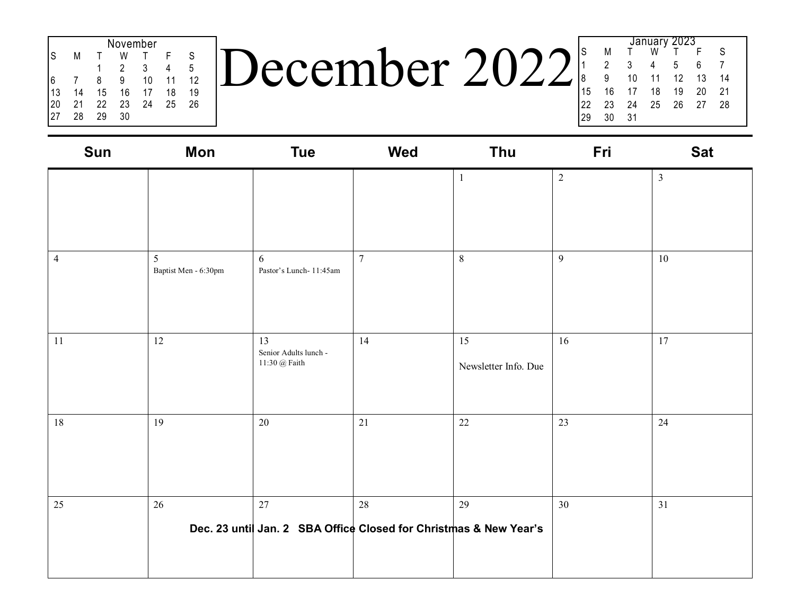| November |    |    |    |    |    |    |  |  |  |
|----------|----|----|----|----|----|----|--|--|--|
| S        | М  |    | W  |    | F  | S  |  |  |  |
|          |    |    | 2  | 3  |    | 5  |  |  |  |
|          |    | 8  | 9  | 10 | 11 | 12 |  |  |  |
| 13       | 14 | 15 | 16 | 17 | 18 | 19 |  |  |  |
| 20       | 21 | 22 | 23 | 24 | 25 | 26 |  |  |  |
| 27       | 28 | 29 | 30 |    |    |    |  |  |  |

 $\vert$ December 2022 $\vert$ 

|    |    |    |    | January 2023 |    |    |  |
|----|----|----|----|--------------|----|----|--|
| S  | M  |    | W  |              |    | S  |  |
| 1  | 2  | 3  | 4  | 5            | 6  |    |  |
| 8  | 9  | 10 | 11 | 12           | 13 | 14 |  |
| 15 | 16 | 17 | 18 | 19           | 20 | 21 |  |
| 22 | 23 | 24 | 25 | 26           | 27 | 28 |  |
| 29 | 30 | 31 |    |              |    |    |  |
|    |    |    |    |              |    |    |  |

| Sun            | <b>Mon</b>                | <b>Tue</b>                                                              | <b>Wed</b>     | Thu                        | Fri            | <b>Sat</b>     |
|----------------|---------------------------|-------------------------------------------------------------------------|----------------|----------------------------|----------------|----------------|
|                |                           |                                                                         |                | $\mathbf{1}$               | $\sqrt{2}$     | $\mathfrak{Z}$ |
| $\overline{4}$ | 5<br>Baptist Men - 6:30pm | 6<br>Pastor's Lunch- 11:45am                                            | $\overline{7}$ | $\,8\,$                    | $\mathfrak{g}$ | $10\,$         |
| 11             | 12                        | 13<br>Senior Adults lunch -<br>$11{:}30 \text{ } @$ Faith               | 14             | 15<br>Newsletter Info. Due | 16             | 17             |
| 18             | 19                        | $20\,$                                                                  | 21             | $22\,$                     | 23             | 24             |
| 25             | 26                        | 27<br>Dec. 23 until Jan. 2 SBA Office Closed for Christmas & New Year's | 28             | 29                         | 30             | 31             |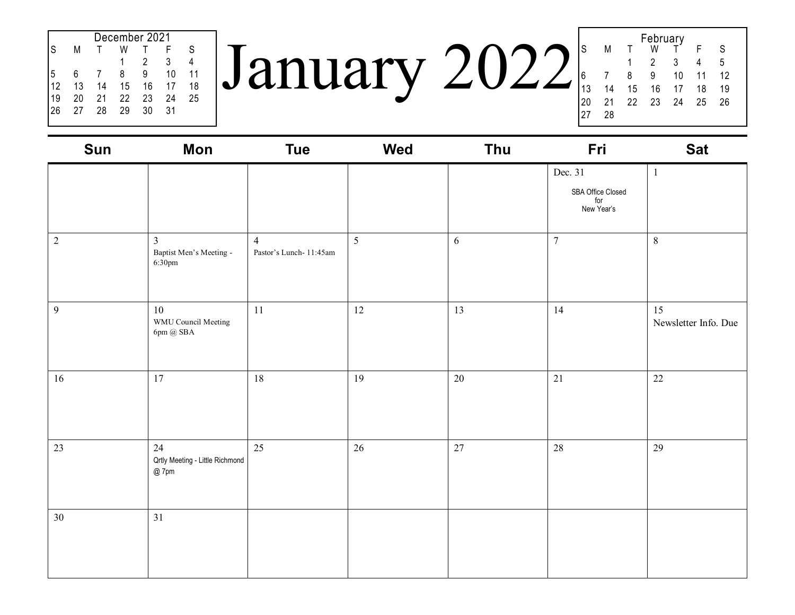|    | December 2021 |    |    |    |    |    |  |  |  |  |
|----|---------------|----|----|----|----|----|--|--|--|--|
| S  | М             |    | W  |    | F  | S  |  |  |  |  |
|    |               |    |    | 2  | 3  |    |  |  |  |  |
| 5  | 6             |    | 8  | 9  | 10 | 11 |  |  |  |  |
| 12 | 13            | 14 | 15 | 16 | 17 | 18 |  |  |  |  |
| 19 | 20            | 21 | 22 | 23 | 24 | 25 |  |  |  |  |
| 26 | 27            | 28 | 29 | 30 | 31 |    |  |  |  |  |
|    |               |    |    |    |    |    |  |  |  |  |

January 2022 February<br>W T S M T W T F S 1 2 3 4 5 6 7 8 9 10 11 12 13 14 15 16 17 18 19 20 21 22 23 24 25 26 27 28

| Sun            | Mon                                                              | <b>Tue</b>                               | Wed | Thu  | Fri                                               | <b>Sat</b>                 |
|----------------|------------------------------------------------------------------|------------------------------------------|-----|------|---------------------------------------------------|----------------------------|
|                |                                                                  |                                          |     |      | Dec. 31<br>SBA Office Closed<br>for<br>New Year's | $\mathbf{1}$               |
| $\overline{c}$ | $\overline{3}$<br>Baptist Men's Meeting -<br>6:30pm              | $\overline{4}$<br>Pastor's Lunch-11:45am | 5   | 6    | $\overline{7}$                                    | $8\,$                      |
| 9              | $10\,$<br>WMU Council Meeting<br>$6\mathrm{pm}$ @ $\mathrm{SBA}$ | 11                                       | 12  | 13   | 14                                                | 15<br>Newsletter Info. Due |
| 16             | 17                                                               | 18                                       | 19  | 20   | 21                                                | 22                         |
| 23             | 24<br>Qrtly Meeting - Little Richmond<br>$@$ 7pm                 | 25                                       | 26  | $27$ | $28\,$                                            | 29                         |
| 30             | 31                                                               |                                          |     |      |                                                   |                            |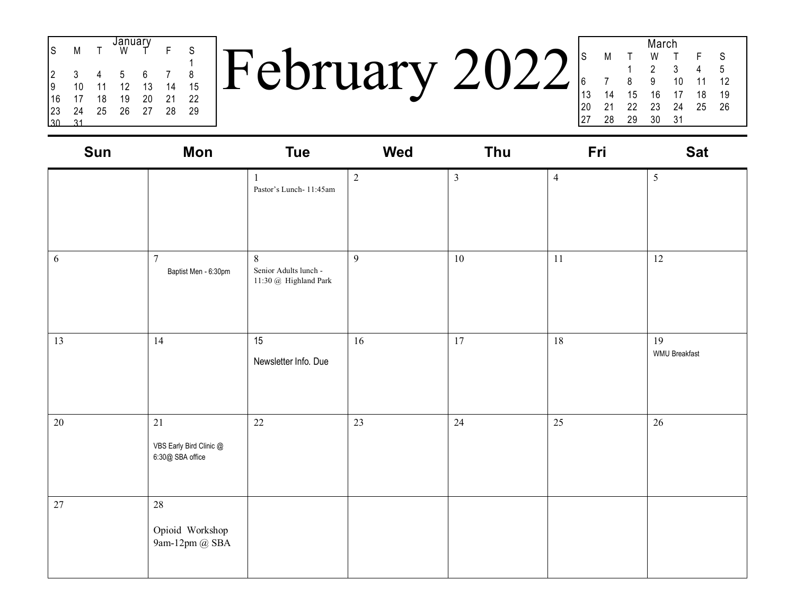| S  | М  |    | January<br>Ŵ |    |    | S  |  |
|----|----|----|--------------|----|----|----|--|
| 2  | 3  |    | 5            | 6  |    | 8  |  |
|    |    |    |              |    |    |    |  |
| 9  | 10 | 11 | 12           | 13 | 14 | 15 |  |
| 16 | 17 | 18 | 19           | 20 | 21 | 22 |  |
| 23 | 24 | 25 | 26           | 27 | 28 | 29 |  |
|    |    |    |              |    |    |    |  |

February 2022

| March |    |    |    |    |    |    |  |  |
|-------|----|----|----|----|----|----|--|--|
| S     | M  | т  | W  |    | F  | S  |  |  |
|       |    |    | 2  | 3  | 4  | 5  |  |  |
| 6     |    | 8  | 9  | 10 | 11 | 12 |  |  |
| 13    | 14 | 15 | 16 | 17 | 18 | 19 |  |  |
| 20    | 21 | 22 | 23 | 24 | 25 | 26 |  |  |
| 27    | 28 | 29 | 30 | 31 |    |    |  |  |
|       |    |    |    |    |    |    |  |  |

| Sun        | Mon                                               | <b>Tue</b>                                                                      | <b>Wed</b> | Thu            | Fri            | <b>Sat</b>                 |
|------------|---------------------------------------------------|---------------------------------------------------------------------------------|------------|----------------|----------------|----------------------------|
|            |                                                   | $\mathbf{1}$<br>Pastor's Lunch-11:45am                                          | $\sqrt{2}$ | $\mathfrak{Z}$ | $\overline{4}$ | $\mathfrak{H}$             |
| $\sqrt{6}$ | $\overline{7}$<br>Baptist Men - 6:30pm            | $8\,$<br>Senior Adults lunch -<br>$11:30\ \text{\textregistered}$ Highland Park | 9          | $10\,$         | 11             | $12\,$                     |
| 13         | 14                                                | 15<br>Newsletter Info. Due                                                      | 16         | 17             | 18             | 19<br><b>WMU Breakfast</b> |
| 20         | 21<br>VBS Early Bird Clinic @<br>6:30@ SBA office | 22                                                                              | 23         | 24             | 25             | 26                         |
| $27\,$     | 28<br>Opioid Workshop<br>9am-12pm $@$ SBA         |                                                                                 |            |                |                |                            |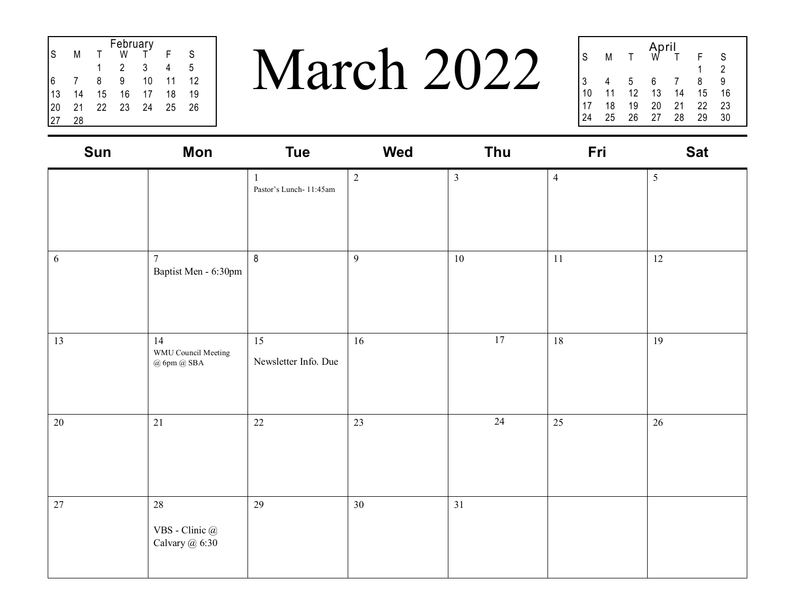| February |    |    |    |    |    |    |  |  |
|----------|----|----|----|----|----|----|--|--|
| S        | М  |    | w  |    |    | S  |  |  |
|          |    |    | 2  | 3  |    | 5  |  |  |
| 6        |    | 8  | 9  | 10 | 11 | 12 |  |  |
| 13       | 14 | 15 | 16 | 17 | 18 | 19 |  |  |
| 20       | 21 | 22 | 23 | 24 | 25 | 26 |  |  |
|          | 28 |    |    |    |    |    |  |  |

March 2022

|    |    |    | April |    |    |    |  |
|----|----|----|-------|----|----|----|--|
| S  | М  |    |       |    | F  | S  |  |
|    |    |    |       |    |    | 2  |  |
| 3  |    | 5  | 6     |    | 8  | 9  |  |
| 10 | 11 | 12 | 13    | 14 | 15 | 16 |  |
|    | 18 | 19 | 20    | 21 | 22 | 23 |  |
|    | 25 | 26 | 27    | 28 | 29 | 30 |  |

| Sun | Mon                                          | <b>Tue</b>                             | <b>Wed</b>     | Thu            | Fri            | <b>Sat</b>     |
|-----|----------------------------------------------|----------------------------------------|----------------|----------------|----------------|----------------|
|     |                                              | $\mathbf{1}$<br>Pastor's Lunch-11:45am | $\sqrt{2}$     | $\mathfrak{Z}$ | $\overline{4}$ | $\mathfrak{H}$ |
| 6   | $\overline{7}$<br>Baptist Men - 6:30pm       | $\boldsymbol{8}$                       | $\overline{9}$ | $10\,$         | 11             | 12             |
| 13  | 14<br>WMU Council Meeting<br>$@$ 6pm $@$ SBA | 15<br>Newsletter Info. Due             | 16             | 17             | 18             | 19             |
| 20  | 21                                           | 22                                     | 23             | 24             | 25             | 26             |
| 27  | 28<br>VBS - Clinic @<br>Calvary @ 6:30       | 29                                     | 30             | 31             |                |                |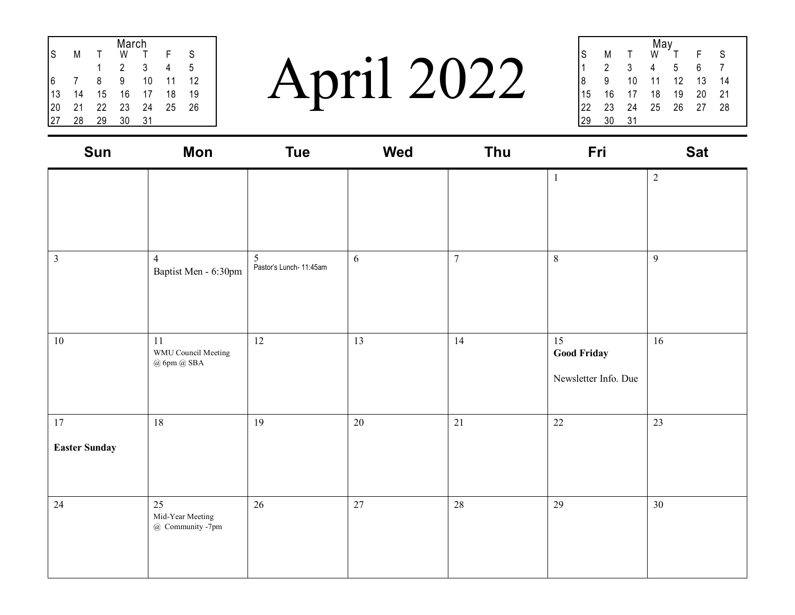| March |    |    |    |    |    |    |  |  |
|-------|----|----|----|----|----|----|--|--|
| S     | Μ  |    | W  |    | F  | S  |  |  |
|       |    |    | 2  | 3  |    | 5  |  |  |
|       |    | 8  | 9  | 10 | 11 | 12 |  |  |
| 13    | 14 | 15 | 16 | 17 | 18 | 19 |  |  |
| 20    | 21 | 22 | 23 | 24 | 25 | 26 |  |  |
|       | 28 | 29 | 30 | 31 |    |    |  |  |

April 2022

|    |    |    | May<br>W |    |    |    |  |
|----|----|----|----------|----|----|----|--|
| S  | Μ  |    |          |    | F  | S  |  |
|    | 2  | 3  |          | 5  | 6  |    |  |
| 8  | 9  | 10 | 11       | 12 | 13 | 14 |  |
| 15 | 16 | 17 | 18       | 19 | 20 | 21 |  |
| 22 | 23 | 24 | 25       | 26 | 27 | 28 |  |
| 29 | 30 | 31 |          |    |    |    |  |
|    |    |    |          |    |    |    |  |

| Sun                        | Mon                                          | <b>Tue</b>                   | Wed | Thu            | Fri                                              | <b>Sat</b> |
|----------------------------|----------------------------------------------|------------------------------|-----|----------------|--------------------------------------------------|------------|
|                            |                                              |                              |     |                | $\,1$                                            | $\sqrt{2}$ |
| $\mathfrak{Z}$             | $\overline{4}$<br>Baptist Men - 6:30pm       | 5<br>Pastor's Lunch- 11:45am | 6   | $\overline{7}$ | $8\,$                                            | 9          |
| $10\,$                     | 11<br>WMU Council Meeting<br>$@$ 6pm $@$ SBA | $12\,$                       | 13  | 14             | 15<br><b>Good Friday</b><br>Newsletter Info. Due | 16         |
| 17<br><b>Easter Sunday</b> | $18\,$                                       | 19                           | 20  | 21             | $22\,$                                           | 23         |
| 24                         | 25<br>Mid-Year Meeting<br>@ Community -7pm   | $26\,$                       | 27  | 28             | 29                                               | 30         |